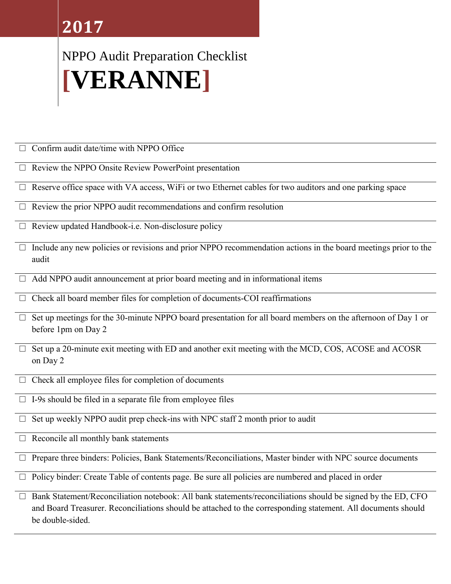## **2017**

## NPPO Audit Preparation Checklist **[VERANNE]**

 $\Box$  Confirm audit date/time with NPPO Office

- $\Box$  Review the NPPO Onsite Review PowerPoint presentation
- $\Box$  Reserve office space with VA access, WiFi or two Ethernet cables for two auditors and one parking space
- $\Box$  Review the prior NPPO audit recommendations and confirm resolution
- $\Box$  Review updated Handbook-i.e. Non-disclosure policy
- $\Box$  Include any new policies or revisions and prior NPPO recommendation actions in the board meetings prior to the audit
- $\Box$  Add NPPO audit announcement at prior board meeting and in informational items
- $\Box$  Check all board member files for completion of documents-COI reaffirmations
- $\Box$  Set up meetings for the 30-minute NPPO board presentation for all board members on the afternoon of Day 1 or before 1pm on Day 2
- $\Box$  Set up a 20-minute exit meeting with ED and another exit meeting with the MCD, COS, ACOSE and ACOSR on Day 2
- $\Box$  Check all employee files for completion of documents
- $\square$  I-9s should be filed in a separate file from employee files
- $\Box$  Set up weekly NPPO audit prep check-ins with NPC staff 2 month prior to audit
- $\Box$  Reconcile all monthly bank statements
- □ Prepare three binders: Policies, Bank Statements/Reconciliations, Master binder with NPC source documents
- $\Box$  Policy binder: Create Table of contents page. Be sure all policies are numbered and placed in order

Bank Statement/Reconciliation notebook: All bank statements/reconciliations should be signed by the ED, CFO and Board Treasurer. Reconciliations should be attached to the corresponding statement. All documents should be double-sided.